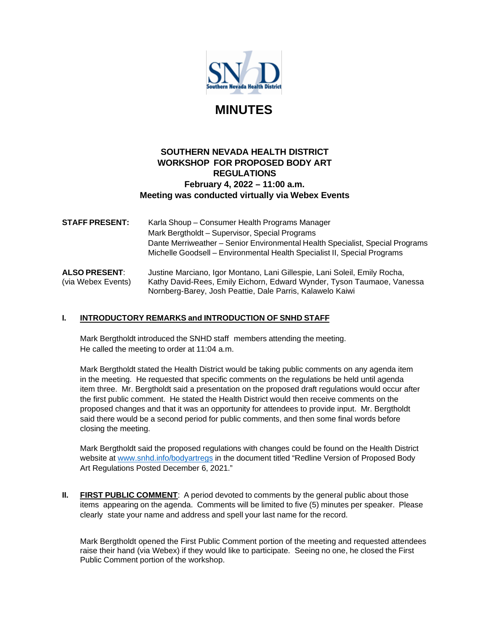

# **MINUTES**

# **SOUTHERN NEVADA HEALTH DISTRICT WORKSHOP FOR PROPOSED BODY ART REGULATIONS February 4, 2022 – 11:00 a.m. Meeting was conducted virtually via Webex Events**

**STAFF PRESENT:** Karla Shoup – Consumer Health Programs Manager Mark Bergtholdt – Supervisor, Special Programs Dante Merriweather – Senior Environmental Health Specialist, Special Programs Michelle Goodsell – Environmental Health Specialist II, Special Programs

**ALSO PRESENT**: Justine Marciano, Igor Montano, Lani Gillespie, Lani Soleil, Emily Rocha, (via Webex Events) Kathy David-Rees, Emily Eichorn, Edward Wynder, Tyson Taumaoe, Vanessa Nornberg-Barey, Josh Peattie, Dale Parris, Kalawelo Kaiwi

# **I. INTRODUCTORY REMARKS and INTRODUCTION OF SNHD STAFF**

Mark Bergtholdt introduced the SNHD staff members attending the meeting. He called the meeting to order at 11:04 a.m.

Mark Bergtholdt stated the Health District would be taking public comments on any agenda item in the meeting. He requested that specific comments on the regulations be held until agenda item three. Mr. Bergtholdt said a presentation on the proposed draft regulations would occur after the first public comment. He stated the Health District would then receive comments on the proposed changes and that it was an opportunity for attendees to provide input. Mr. Bergtholdt said there would be a second period for public comments, and then some final words before closing the meeting.

Mark Bergtholdt said the proposed regulations with changes could be found on the Health District website at [www.snhd.info/bodyartregs](http://www.snhd.info/bodyartregs) in the document titled "Redline Version of Proposed Body Art Regulations Posted December 6, 2021."

**II. FIRST PUBLIC COMMENT**: A period devoted to comments by the general public about those items appearing on the agenda. Comments will be limited to five (5) minutes per speaker. Please clearly state your name and address and spell your last name for the record.

Mark Bergtholdt opened the First Public Comment portion of the meeting and requested attendees raise their hand (via Webex) if they would like to participate. Seeing no one, he closed the First Public Comment portion of the workshop.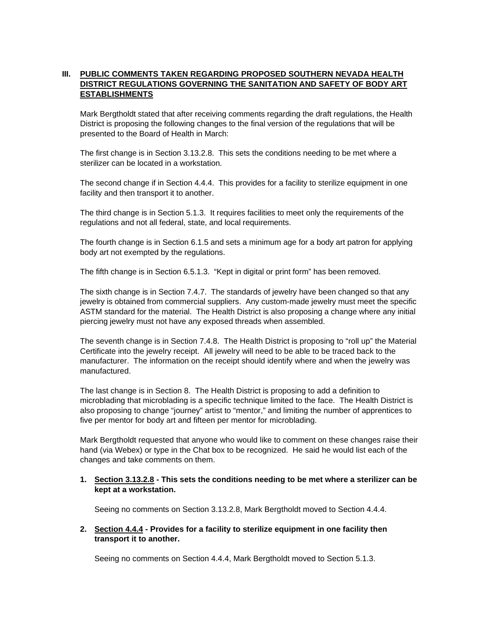# **III. PUBLIC COMMENTS TAKEN REGARDING PROPOSED SOUTHERN NEVADA HEALTH DISTRICT REGULATIONS GOVERNING THE SANITATION AND SAFETY OF BODY ART ESTABLISHMENTS**

Mark Bergtholdt stated that after receiving comments regarding the draft regulations, the Health District is proposing the following changes to the final version of the regulations that will be presented to the Board of Health in March:

The first change is in Section 3.13.2.8. This sets the conditions needing to be met where a sterilizer can be located in a workstation.

The second change if in Section 4.4.4. This provides for a facility to sterilize equipment in one facility and then transport it to another.

The third change is in Section 5.1.3. It requires facilities to meet only the requirements of the regulations and not all federal, state, and local requirements.

The fourth change is in Section 6.1.5 and sets a minimum age for a body art patron for applying body art not exempted by the regulations.

The fifth change is in Section 6.5.1.3. "Kept in digital or print form" has been removed.

The sixth change is in Section 7.4.7. The standards of jewelry have been changed so that any jewelry is obtained from commercial suppliers. Any custom-made jewelry must meet the specific ASTM standard for the material. The Health District is also proposing a change where any initial piercing jewelry must not have any exposed threads when assembled.

The seventh change is in Section 7.4.8. The Health District is proposing to "roll up" the Material Certificate into the jewelry receipt. All jewelry will need to be able to be traced back to the manufacturer. The information on the receipt should identify where and when the jewelry was manufactured.

The last change is in Section 8. The Health District is proposing to add a definition to microblading that microblading is a specific technique limited to the face. The Health District is also proposing to change "journey" artist to "mentor," and limiting the number of apprentices to five per mentor for body art and fifteen per mentor for microblading.

Mark Bergtholdt requested that anyone who would like to comment on these changes raise their hand (via Webex) or type in the Chat box to be recognized. He said he would list each of the changes and take comments on them.

#### **1. Section 3.13.2.8 - This sets the conditions needing to be met where a sterilizer can be kept at a workstation.**

Seeing no comments on Section 3.13.2.8, Mark Bergtholdt moved to Section 4.4.4.

#### **2. Section 4.4.4 - Provides for a facility to sterilize equipment in one facility then transport it to another.**

Seeing no comments on Section 4.4.4, Mark Bergtholdt moved to Section 5.1.3.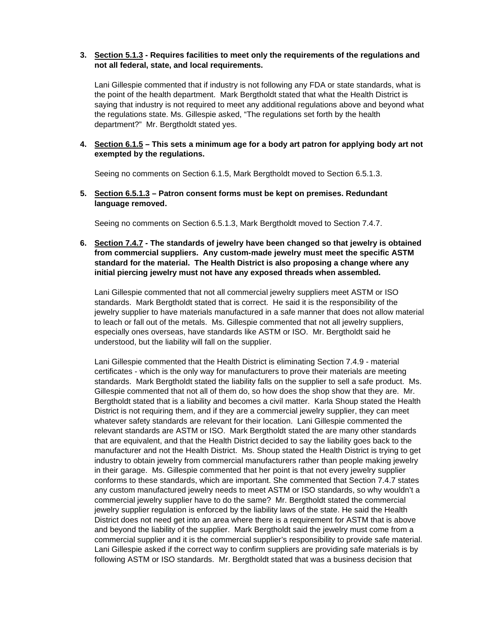#### **3. Section 5.1.3 - Requires facilities to meet only the requirements of the regulations and not all federal, state, and local requirements.**

Lani Gillespie commented that if industry is not following any FDA or state standards, what is the point of the health department. Mark Bergtholdt stated that what the Health District is saying that industry is not required to meet any additional regulations above and beyond what the regulations state. Ms. Gillespie asked, "The regulations set forth by the health department?" Mr. Bergtholdt stated yes.

#### **4. Section 6.1.5 – This sets a minimum age for a body art patron for applying body art not exempted by the regulations.**

Seeing no comments on Section 6.1.5, Mark Bergtholdt moved to Section 6.5.1.3.

**5. Section 6.5.1.3 – Patron consent forms must be kept on premises. Redundant language removed.**

Seeing no comments on Section 6.5.1.3, Mark Bergtholdt moved to Section 7.4.7.

#### **6. Section 7.4.7 - The standards of jewelry have been changed so that jewelry is obtained from commercial suppliers. Any custom-made jewelry must meet the specific ASTM standard for the material. The Health District is also proposing a change where any initial piercing jewelry must not have any exposed threads when assembled.**

Lani Gillespie commented that not all commercial jewelry suppliers meet ASTM or ISO standards. Mark Bergtholdt stated that is correct. He said it is the responsibility of the jewelry supplier to have materials manufactured in a safe manner that does not allow material to leach or fall out of the metals. Ms. Gillespie commented that not all jewelry suppliers, especially ones overseas, have standards like ASTM or ISO. Mr. Bergtholdt said he understood, but the liability will fall on the supplier.

Lani Gillespie commented that the Health District is eliminating Section 7.4.9 - material certificates - which is the only way for manufacturers to prove their materials are meeting standards. Mark Bergtholdt stated the liability falls on the supplier to sell a safe product. Ms. Gillespie commented that not all of them do, so how does the shop show that they are. Mr. Bergtholdt stated that is a liability and becomes a civil matter. Karla Shoup stated the Health District is not requiring them, and if they are a commercial jewelry supplier, they can meet whatever safety standards are relevant for their location. Lani Gillespie commented the relevant standards are ASTM or ISO. Mark Bergtholdt stated the are many other standards that are equivalent, and that the Health District decided to say the liability goes back to the manufacturer and not the Health District. Ms. Shoup stated the Health District is trying to get industry to obtain jewelry from commercial manufacturers rather than people making jewelry in their garage. Ms. Gillespie commented that her point is that not every jewelry supplier conforms to these standards, which are important. She commented that Section 7.4.7 states any custom manufactured jewelry needs to meet ASTM or ISO standards, so why wouldn't a commercial jewelry supplier have to do the same? Mr. Bergtholdt stated the commercial jewelry supplier regulation is enforced by the liability laws of the state. He said the Health District does not need get into an area where there is a requirement for ASTM that is above and beyond the liability of the supplier. Mark Bergtholdt said the jewelry must come from a commercial supplier and it is the commercial supplier's responsibility to provide safe material. Lani Gillespie asked if the correct way to confirm suppliers are providing safe materials is by following ASTM or ISO standards. Mr. Bergtholdt stated that was a business decision that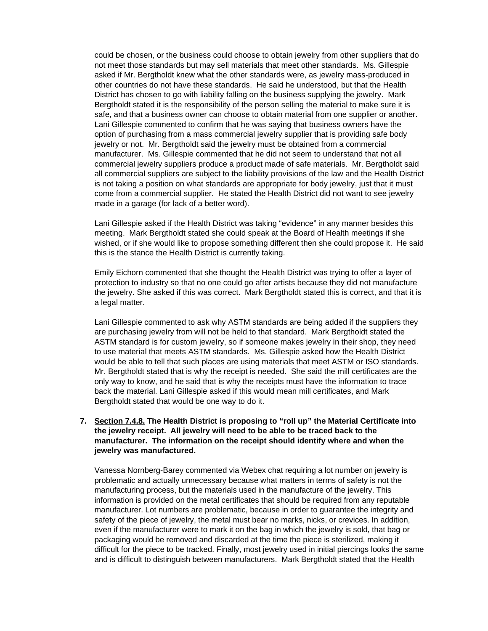could be chosen, or the business could choose to obtain jewelry from other suppliers that do not meet those standards but may sell materials that meet other standards. Ms. Gillespie asked if Mr. Bergtholdt knew what the other standards were, as jewelry mass-produced in other countries do not have these standards. He said he understood, but that the Health District has chosen to go with liability falling on the business supplying the jewelry. Mark Bergtholdt stated it is the responsibility of the person selling the material to make sure it is safe, and that a business owner can choose to obtain material from one supplier or another. Lani Gillespie commented to confirm that he was saying that business owners have the option of purchasing from a mass commercial jewelry supplier that is providing safe body jewelry or not. Mr. Bergtholdt said the jewelry must be obtained from a commercial manufacturer. Ms. Gillespie commented that he did not seem to understand that not all commercial jewelry suppliers produce a product made of safe materials. Mr. Bergtholdt said all commercial suppliers are subject to the liability provisions of the law and the Health District is not taking a position on what standards are appropriate for body jewelry, just that it must come from a commercial supplier. He stated the Health District did not want to see jewelry made in a garage (for lack of a better word).

Lani Gillespie asked if the Health District was taking "evidence" in any manner besides this meeting. Mark Bergtholdt stated she could speak at the Board of Health meetings if she wished, or if she would like to propose something different then she could propose it. He said this is the stance the Health District is currently taking.

Emily Eichorn commented that she thought the Health District was trying to offer a layer of protection to industry so that no one could go after artists because they did not manufacture the jewelry. She asked if this was correct. Mark Bergtholdt stated this is correct, and that it is a legal matter.

Lani Gillespie commented to ask why ASTM standards are being added if the suppliers they are purchasing jewelry from will not be held to that standard. Mark Bergtholdt stated the ASTM standard is for custom jewelry, so if someone makes jewelry in their shop, they need to use material that meets ASTM standards. Ms. Gillespie asked how the Health District would be able to tell that such places are using materials that meet ASTM or ISO standards. Mr. Bergtholdt stated that is why the receipt is needed. She said the mill certificates are the only way to know, and he said that is why the receipts must have the information to trace back the material. Lani Gillespie asked if this would mean mill certificates, and Mark Bergtholdt stated that would be one way to do it.

#### **7. Section 7.4.8. The Health District is proposing to "roll up" the Material Certificate into the jewelry receipt. All jewelry will need to be able to be traced back to the manufacturer. The information on the receipt should identify where and when the jewelry was manufactured.**

Vanessa Nornberg-Barey commented via Webex chat requiring a lot number on jewelry is problematic and actually unnecessary because what matters in terms of safety is not the manufacturing process, but the materials used in the manufacture of the jewelry. This information is provided on the metal certificates that should be required from any reputable manufacturer. Lot numbers are problematic, because in order to guarantee the integrity and safety of the piece of jewelry, the metal must bear no marks, nicks, or crevices. In addition, even if the manufacturer were to mark it on the bag in which the jewelry is sold, that bag or packaging would be removed and discarded at the time the piece is sterilized, making it difficult for the piece to be tracked. Finally, most jewelry used in initial piercings looks the same and is difficult to distinguish between manufacturers. Mark Bergtholdt stated that the Health